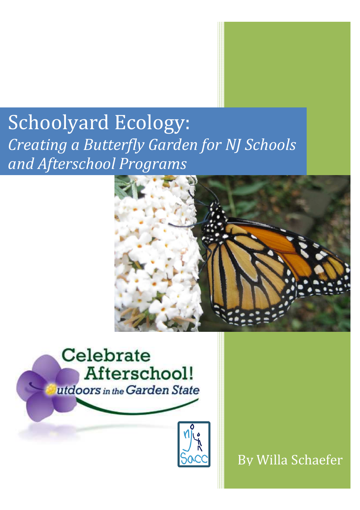# Schoolyard Ecology: *Creating a Butterfly Garden for NJ Schools and Afterschool Programs*





By Willa Schaefer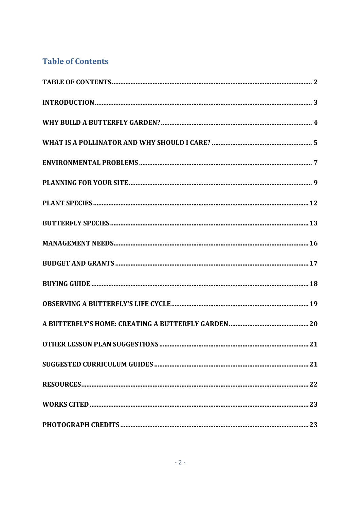### **Table of Contents**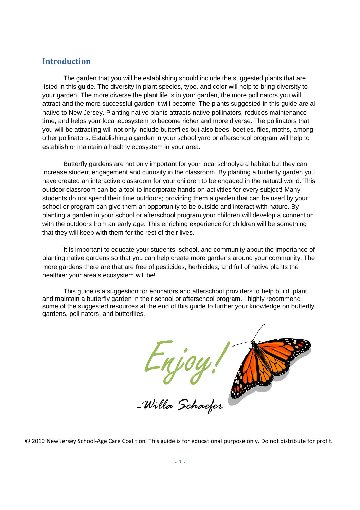#### **Introduction**

The garden that you will be establishing should include the suggested plants that are listed in this guide. The diversity in plant species, type, and color will help to bring diversity to your garden. The more diverse the plant life is in your garden, the more pollinators you will attract and the more successful garden it will become. The plants suggested in this guide are all native to New Jersey. Planting native plants attracts native pollinators, reduces maintenance time, and helps your local ecosystem to become richer and more diverse. The pollinators that you will be attracting will not only include butterflies but also bees, beetles, flies, moths, among other pollinators. Establishing a garden in your school yard or afterschool program will help to establish or maintain a healthy ecosystem in your area.

Butterfly gardens are not only important for your local schoolyard habitat but they can increase student engagement and curiosity in the classroom. By planting a butterfly garden you have created an interactive classroom for your children to be engaged in the natural world. This outdoor classroom can be a tool to incorporate hands-on activities for every subject! Many students do not spend their time outdoors; providing them a garden that can be used by your school or program can give them an opportunity to be outside and interact with nature. By planting a garden in your school or afterschool program your children will develop a connection with the outdoors from an early age. This enriching experience for children will be something that they will keep with them for the rest of their lives.

It is important to educate your students, school, and community about the importance of planting native gardens so that you can help create more gardens around your community. The more gardens there are that are free of pesticides, herbicides, and full of native plants the healthier your area's ecosystem will be!

This guide is a suggestion for educators and afterschool providers to help build, plant, and maintain a butterfly garden in their school or afterschool program. I highly recommend some of the suggested resources at the end of this guide to further your knowledge on butterfly gardens, pollinators, and butterflies.



© 2010 New Jersey School-Age Care Coalition. This guide is for educational purpose only. Do not distribute for profit.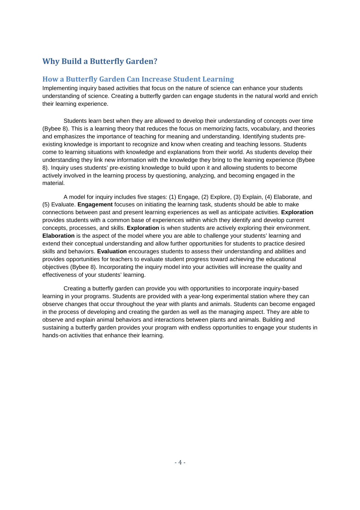### **Why Build a Butterfly Garden?**

#### **How a Butterfly Garden Can Increase Student Learning**

Implementing inquiry based activities that focus on the nature of science can enhance your students understanding of science. Creating a butterfly garden can engage students in the natural world and enrich their learning experience.

Students learn best when they are allowed to develop their understanding of concepts over time (Bybee 8). This is a learning theory that reduces the focus on memorizing facts, vocabulary, and theories and emphasizes the importance of teaching for meaning and understanding. Identifying students preexisting knowledge is important to recognize and know when creating and teaching lessons. Students come to learning situations with knowledge and explanations from their world. As students develop their understanding they link new information with the knowledge they bring to the learning experience (Bybee 8). Inquiry uses students' pre-existing knowledge to build upon it and allowing students to become actively involved in the learning process by questioning, analyzing, and becoming engaged in the material.

A model for inquiry includes five stages: (1) Engage, (2) Explore, (3) Explain, (4) Elaborate, and (5) Evaluate. **Engagement** focuses on initiating the learning task, students should be able to make connections between past and present learning experiences as well as anticipate activities. **Exploration** provides students with a common base of experiences within which they identify and develop current concepts, processes, and skills. **Exploration** is when students are actively exploring their environment. **Elaboration** is the aspect of the model where you are able to challenge your students' learning and extend their conceptual understanding and allow further opportunities for students to practice desired skills and behaviors. **Evaluation** encourages students to assess their understanding and abilities and provides opportunities for teachers to evaluate student progress toward achieving the educational objectives (Bybee 8). Incorporating the inquiry model into your activities will increase the quality and effectiveness of your students' learning.

Creating a butterfly garden can provide you with opportunities to incorporate inquiry-based learning in your programs. Students are provided with a year-long experimental station where they can observe changes that occur throughout the year with plants and animals. Students can become engaged in the process of developing and creating the garden as well as the managing aspect. They are able to observe and explain animal behaviors and interactions between plants and animals. Building and sustaining a butterfly garden provides your program with endless opportunities to engage your students in hands-on activities that enhance their learning.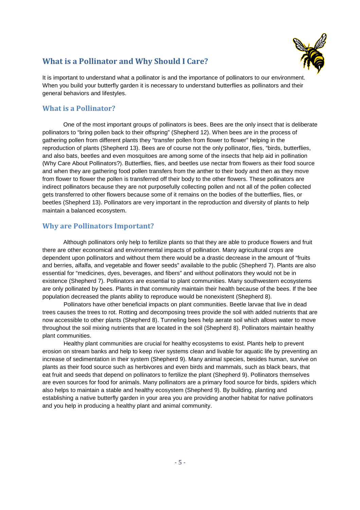### **What is a Pollinator and Why Should I Care?**

It is important to understand what a pollinator is and the importance of pollinators to our environment. When you build your butterfly garden it is necessary to understand butterflies as pollinators and their general behaviors and lifestyles.

#### **What is a Pollinator?**

One of the most important groups of pollinators is bees. Bees are the only insect that is deliberate pollinators to "bring pollen back to their offspring" (Shepherd 12). When bees are in the process of gathering pollen from different plants they "transfer pollen from flower to flower" helping in the reproduction of plants (Shepherd 13). Bees are of course not the only pollinator, flies, "birds, butterflies, and also bats, beetles and even mosquitoes are among some of the insects that help aid in pollination (Why Care About Pollinators?). Butterflies, flies, and beetles use nectar from flowers as their food source and when they are gathering food pollen transfers from the anther to their body and then as they move from flower to flower the pollen is transferred off their body to the other flowers. These pollinators are indirect pollinators because they are not purposefully collecting pollen and not all of the pollen collected gets transferred to other flowers because some of it remains on the bodies of the butterflies, flies, or beetles (Shepherd 13). Pollinators are very important in the reproduction and diversity of plants to help maintain a balanced ecosystem.

#### **Why are Pollinators Important?**

Although pollinators only help to fertilize plants so that they are able to produce flowers and fruit there are other economical and environmental impacts of pollination. Many agricultural crops are dependent upon pollinators and without them there would be a drastic decrease in the amount of "fruits and berries, alfalfa, and vegetable and flower seeds" available to the public (Shepherd 7). Plants are also essential for "medicines, dyes, beverages, and fibers" and without pollinators they would not be in existence (Shepherd 7). Pollinators are essential to plant communities. Many southwestern ecosystems are only pollinated by bees. Plants in that community maintain their health because of the bees. If the bee population decreased the plants ability to reproduce would be nonexistent (Shepherd 8).

Pollinators have other beneficial impacts on plant communities. Beetle larvae that live in dead trees causes the trees to rot. Rotting and decomposing trees provide the soil with added nutrients that are now accessible to other plants (Shepherd 8). Tunneling bees help aerate soil which allows water to move throughout the soil mixing nutrients that are located in the soil (Shepherd 8). Pollinators maintain healthy plant communities.

Healthy plant communities are crucial for healthy ecosystems to exist. Plants help to prevent erosion on stream banks and help to keep river systems clean and livable for aquatic life by preventing an increase of sedimentation in their system (Shepherd 9). Many animal species, besides human, survive on plants as their food source such as herbivores and even birds and mammals, such as black bears, that eat fruit and seeds that depend on pollinators to fertilize the plant (Shepherd 9). Pollinators themselves are even sources for food for animals. Many pollinators are a primary food source for birds, spiders which also helps to maintain a stable and healthy ecosystem (Shepherd 9). By building, planting and establishing a native butterfly garden in your area you are providing another habitat for native pollinators and you help in producing a healthy plant and animal community.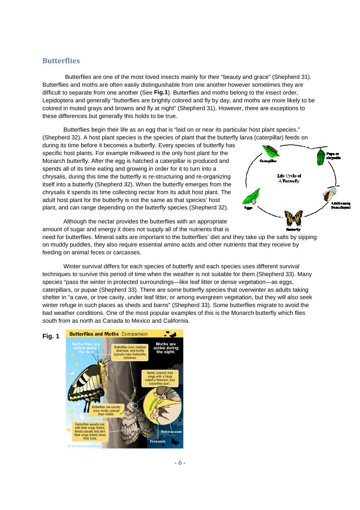#### **Butterflies**

Butterflies are one of the most loved insects mainly for their "beauty and grace" (Shepherd 31). Butterflies and moths are often easily distinguishable from one another however sometimes they are difficult to separate from one another (See Fig.1). Butterflies and moths belong to the insect order, Lepidoptera and generally "butterflies are brightly colored and fly by day, and moths are more likely to be colored in muted grays and browns and fly at night" (Shepherd 31). However, there are exceptions to these differences but generally this holds to be true. asily distinguishable from one another however sometimes they are<br>ther (See **Fig.1**). Butterflies and moths belong to the insect order,<br>rflies are brightly colored and fly by day, and moths are more likely to l<br>rns and fly

Butterflies begin their life as an egg that is "laid on or near its particular host plant species." (Shepherd 32). A host plant species is the species of plant that the butterfly larva (caterpillar) feeds on lies begin their life as an egg that is "laid on or near its partic<br>. A host plant species is the species of plant that the butterfly<br>before it becomes a butterfly. Every species of butterfly has

during its time before it becomes a butterfly. Every species of butterfly has specific host plants. For example milkweed is the only host plant for the Monarch butterfly. After the egg is hatched a caterpillar is produced and spends all of its time eating and growing in order for it to turn into a chrysalis, during this time the butterfly is re-structuring and re-organizing itself into a butterfly (Shepherd 32). When the butterfly emerges from the chrysalis it spends its time collecting nectar from its adult host plant. The adult host plant for the butterfly is not the same as host not as that species' host plant, and can range depending on the butterfly species (Shepherd 32). st plants. For example milkweed is the only host plant for the<br>utterfly. After the egg is hatched a caterpillar is produced and<br>of its time eating and growing in order for it to turn into a<br>during this time the butterfly i



Although the nectar provides the butterflies with an appropriate amount of sugar and energy it does not supply all of the nutrients that is

need for butterflies. Mineral salts are important to the butterflies' diet and they take up the salts by sipping on muddy puddles, they also require essential amino acids and other nutrients that they receive by puddles, feeding on animal feces or carcasses.

Winter survival differs for each species of butterfly and each species uses different survival techniques to survive this period of time when the weather is not suitable for them (Shepherd 33). Many techniques to survive this period of time when the weather is not suitable for them (Shepherd 33).<br>species "pass the winter in protected surroundings—like leaf litter or dense vegetation—as eggs, caterpillars, or pupae (Shepherd 33). There are some butterfly species that overwinter as adults taking shelter in "a cave, or tree cavity, under leaf litter, or among evergreen vegetation, but they will also seek shelter in "a cave, or tree cavity, under leaf litter, or among evergreen vegetation, but they will also seek<br>winter refuge in such places as sheds and barns" (Shepherd 33). Some butterflies migrate to avoid the bad weather conditions. One of the most popular examples of this is the Monarch butterfly which flies south from as north as Canada to Mexico and California. the files are one of the most lowed insects mainly for their "beauty and grace" (Shepherd 31). And the most lowed insects anid y to their beauty and grace if the most are beauty and the most paparate from one another (See



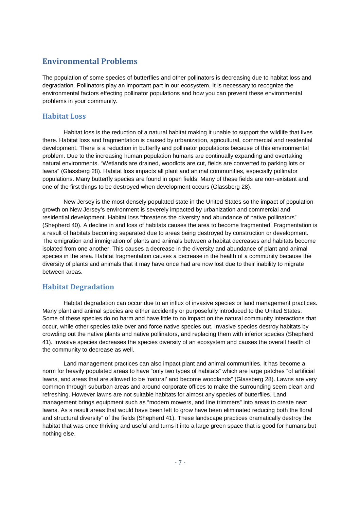#### **Environmental Problems**

The population of some species of butterflies and other pollinators is decreasing due to habitat loss and degradation. Pollinators play an important part in our ecosystem. It is necessary to recognize the environmental factors effecting pollinator populations and how you can prevent these environmental problems in your community.

#### **Habitat Loss**

Habitat loss is the reduction of a natural habitat making it unable to support the wildlife that lives there. Habitat loss and fragmentation is caused by urbanization, agricultural, commercial and residential development. There is a reduction in butterfly and pollinator populations because of this environmental problem. Due to the increasing human population humans are continually expanding and overtaking natural environments. "Wetlands are drained, woodlots are cut, fields are converted to parking lots or lawns" (Glassberg 28). Habitat loss impacts all plant and animal communities, especially pollinator populations. Many butterfly species are found in open fields. Many of these fields are non-existent and one of the first things to be destroyed when development occurs (Glassberg 28).

New Jersey is the most densely populated state in the United States so the impact of population growth on New Jersey's environment is severely impacted by urbanization and commercial and residential development. Habitat loss "threatens the diversity and abundance of native pollinators" (Shepherd 40). A decline in and loss of habitats causes the area to become fragmented. Fragmentation is a result of habitats becoming separated due to areas being destroyed by construction or development. The emigration and immigration of plants and animals between a habitat decreases and habitats become isolated from one another. This causes a decrease in the diversity and abundance of plant and animal species in the area. Habitat fragmentation causes a decrease in the health of a community because the diversity of plants and animals that it may have once had are now lost due to their inability to migrate between areas.

#### **Habitat Degradation**

Habitat degradation can occur due to an influx of invasive species or land management practices. Many plant and animal species are either accidently or purposefully introduced to the United States. Some of these species do no harm and have little to no impact on the natural community interactions that occur, while other species take over and force native species out. Invasive species destroy habitats by crowding out the native plants and native pollinators, and replacing them with inferior species (Shepherd 41). Invasive species decreases the species diversity of an ecosystem and causes the overall health of the community to decrease as well.

 Land management practices can also impact plant and animal communities. It has become a norm for heavily populated areas to have "only two types of habitats" which are large patches "of artificial lawns, and areas that are allowed to be 'natural' and become woodlands" (Glassberg 28). Lawns are very common through suburban areas and around corporate offices to make the surrounding seem clean and refreshing. However lawns are not suitable habitats for almost any species of butterflies. Land management brings equipment such as "modern mowers, and line trimmers" into areas to create neat lawns. As a result areas that would have been left to grow have been eliminated reducing both the floral and structural diversity" of the fields (Shepherd 41). These landscape practices dramatically destroy the habitat that was once thriving and useful and turns it into a large green space that is good for humans but nothing else.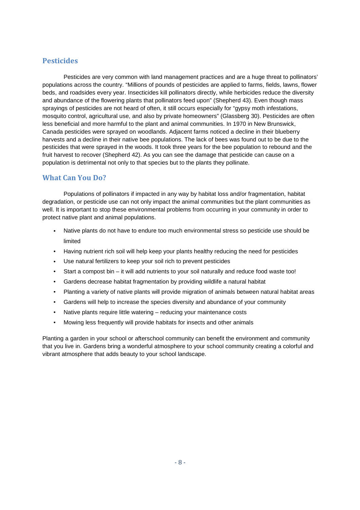#### **Pesticides**

 Pesticides are very common with land management practices and are a huge threat to pollinators' populations across the country. "Millions of pounds of pesticides are applied to farms, fields, lawns, flower beds, and roadsides every year. Insecticides kill pollinators directly, while herbicides reduce the diversity and abundance of the flowering plants that pollinators feed upon" (Shepherd 43). Even though mass sprayings of pesticides are not heard of often, it still occurs especially for "gypsy moth infestations, mosquito control, agricultural use, and also by private homeowners" (Glassberg 30). Pesticides are often less beneficial and more harmful to the plant and animal communities. In 1970 in New Brunswick, Canada pesticides were sprayed on woodlands. Adjacent farms noticed a decline in their blueberry harvests and a decline in their native bee populations. The lack of bees was found out to be due to the pesticides that were sprayed in the woods. It took three years for the bee population to rebound and the fruit harvest to recover (Shepherd 42). As you can see the damage that pesticide can cause on a population is detrimental not only to that species but to the plants they pollinate.

#### **What Can You Do?**

Populations of pollinators if impacted in any way by habitat loss and/or fragmentation, habitat degradation, or pesticide use can not only impact the animal communities but the plant communities as well. It is important to stop these environmental problems from occurring in your community in order to protect native plant and animal populations.

- Native plants do not have to endure too much environmental stress so pesticide use should be limited
- Having nutrient rich soil will help keep your plants healthy reducing the need for pesticides
- Use natural fertilizers to keep your soil rich to prevent pesticides
- Start a compost bin it will add nutrients to your soil naturally and reduce food waste too!
- Gardens decrease habitat fragmentation by providing wildlife a natural habitat
- Planting a variety of native plants will provide migration of animals between natural habitat areas
- Gardens will help to increase the species diversity and abundance of your community
- Native plants require little watering reducing your maintenance costs
- Mowing less frequently will provide habitats for insects and other animals

Planting a garden in your school or afterschool community can benefit the environment and community that you live in. Gardens bring a wonderful atmosphere to your school community creating a colorful and vibrant atmosphere that adds beauty to your school landscape.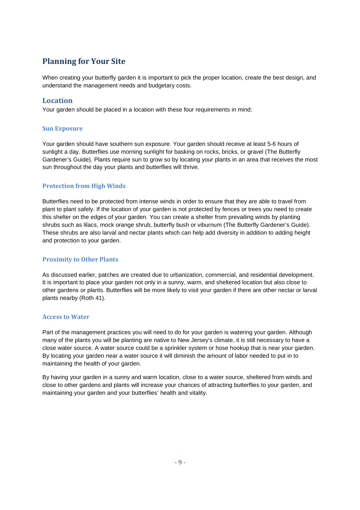### **Planning for Your Site**

When creating your butterfly garden it is important to pick the proper location, create the best design, and understand the management needs and budgetary costs.

#### **Location**

Your garden should be placed in a location with these four requirements in mind:

#### **Sun Exposure**

Your garden should have southern sun exposure. Your garden should receive at least 5-6 hours of sunlight a day. Butterflies use morning sunlight for basking on rocks, bricks, or gravel (The Butterfly Gardener's Guide). Plants require sun to grow so by locating your plants in an area that receives the most sun throughout the day your plants and butterflies will thrive.

#### **Protection from High Winds**

Butterflies need to be protected from intense winds in order to ensure that they are able to travel from plant to plant safely. If the location of your garden is not protected by fences or trees you need to create this shelter on the edges of your garden. You can create a shelter from prevailing winds by planting shrubs such as lilacs, mock orange shrub, butterfly bush or viburnum (The Butterfly Gardener's Guide). These shrubs are also larval and nectar plants which can help add diversity in addition to adding height and protection to your garden.

#### **Proximity to Other Plants**

As discussed earlier, patches are created due to urbanization, commercial, and residential development. It is important to place your garden not only in a sunny, warm, and sheltered location but also close to other gardens or plants. Butterflies will be more likely to visit your garden if there are other nectar or larval plants nearby (Roth 41).

#### **Access to Water**

Part of the management practices you will need to do for your garden is watering your garden. Although many of the plants you will be planting are native to New Jersey's climate, it is still necessary to have a close water source. A water source could be a sprinkler system or hose hookup that is near your garden. By locating your garden near a water source it will diminish the amount of labor needed to put in to maintaining the health of your garden.

By having your garden in a sunny and warm location, close to a water source, sheltered from winds and close to other gardens and plants will increase your chances of attracting butterflies to your garden, and maintaining your garden and your butterflies' health and vitality.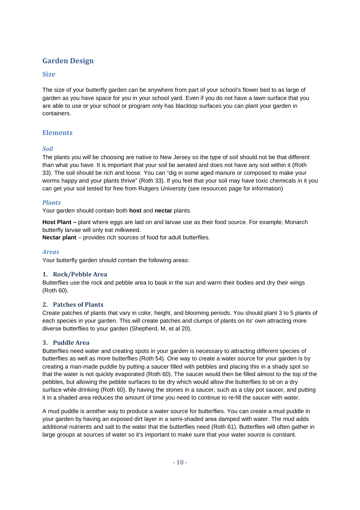### **Garden Design**

#### **Size**

The size of your butterfly garden can be anywhere from part of your school's flower bed to as large of garden as you have space for you in your school yard. Even if you do not have a lawn surface that you are able to use or your school or program only has blacktop surfaces you can plant your garden in containers.

#### **Elements**

#### *Soil*

The plants you will be choosing are native to New Jersey so the type of soil should not be that different than what you have. It is important that your soil be aerated and does not have any sod within it (Roth 33). The soil should be rich and loose. You can "dig in some aged manure or composed to make your worms happy and your plants thrive" (Roth 33). If you feel that your soil may have toxic chemicals in it you can get your soil tested for free from Rutgers University (see resources page for information)

#### *Plants*

Your garden should contain both **host** and **nectar** plants.

**Host Plant –** plant where eggs are laid on and larvae use as their food source. For example, Monarch butterfly larvae will only eat milkweed.

**Nectar plant** – provides rich sources of food for adult butterflies.

#### *Areas*

Your butterfly garden should contain the following areas:

#### **1. Rock/Pebble Area**

Butterflies use the rock and pebble area to bask in the sun and warm their bodies and dry their wings (Roth 60).

#### **2. Patches of Plants**

Create patches of plants that vary in color, height, and blooming periods. You should plant 3 to 5 plants of each species in your garden. This will create patches and clumps of plants on its' own attracting more diverse butterflies to your garden (Shepherd, M, et al 20).

#### **3. Puddle Area**

Butterflies need water and creating spots in your garden is necessary to attracting different species of butterflies as well as more butterflies (Roth 54). One way to create a water source for your garden is by creating a man-made puddle by putting a saucer filled with pebbles and placing this in a shady spot so that the water is not quickly evaporated (Roth 60). The saucer would then be filled almost to the top of the pebbles, but allowing the pebble surfaces to be dry which would allow the butterflies to sit on a dry surface while drinking (Roth 60). By having the stones in a saucer, such as a clay pot saucer, and putting it in a shaded area reduces the amount of time you need to continue to re-fill the saucer with water.

A mud puddle is another way to produce a water source for butterflies. You can create a mud puddle in your garden by having an exposed dirt layer in a semi-shaded area damped with water. The mud adds additional nutrients and salt to the water that the butterflies need (Roth 61). Butterflies will often gather in large groups at sources of water so it's important to make sure that your water source is constant.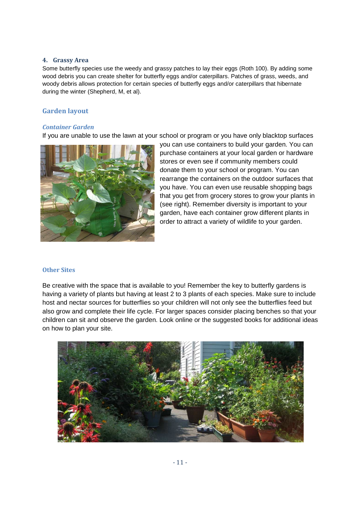#### **4. Grassy Area**

Some butterfly species use the weedy and grassy patches to lay their eggs (Roth 100). By adding some wood debris you can create shelter for butterfly eggs and/or caterpillars. Patches of grass, weeds, and woody debris allows protection for certain species of butterfly eggs and/or caterpillars that hibernate during the winter (Shepherd, M, et al).

#### **Garden layout**

#### *Container Garden*

If you are unable to use the lawn at your school or program or you have only blacktop surfaces



you can use containers to build your garden. You can purchase containers at your local garden or hardware stores or even see if community members could donate them to your school or program. You can rearrange the containers on the outdoor surfaces that you have. You can even use reusable shopping bags that you get from grocery stores to grow your plants in (see right). Remember diversity is important to your garden, have each container grow different plants in order to attract a variety of wildlife to your garden.

#### **Other Sites**

Be creative with the space that is available to you! Remember the key to butterfly gardens is having a variety of plants but having at least 2 to 3 plants of each species. Make sure to include host and nectar sources for butterflies so your children will not only see the butterflies feed but also grow and complete their life cycle. For larger spaces consider placing benches so that your children can sit and observe the garden. Look online or the suggested books for additional ideas on how to plan your site.

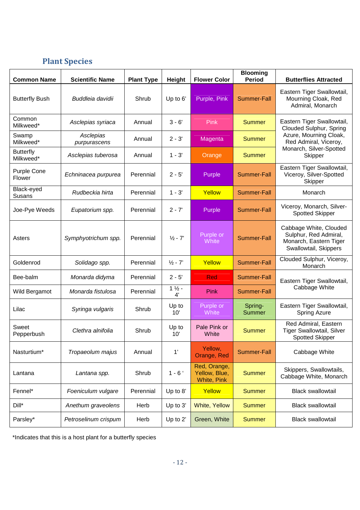### **Plant Species**

| <b>Common Name</b>            | <b>Scientific Name</b>    | <b>Plant Type</b> | <b>Height</b>             | <b>Flower Color</b>                          | <b>Blooming</b><br><b>Period</b> | <b>Butterflies Attracted</b>                                                                                                                   |  |
|-------------------------------|---------------------------|-------------------|---------------------------|----------------------------------------------|----------------------------------|------------------------------------------------------------------------------------------------------------------------------------------------|--|
| <b>Butterfly Bush</b>         | Buddleia davidii          | Shrub             | Up to 6'                  | Purple, Pink                                 | Summer-Fall                      | Eastern Tiger Swallowtail,<br>Mourning Cloak, Red<br>Admiral, Monarch                                                                          |  |
| Common<br>Milkweed*           | Asclepias syriaca         | Annual            | $3 - 6'$                  | <b>Pink</b>                                  | <b>Summer</b>                    | Eastern Tiger Swallowtail,<br>Clouded Sulphur, Spring<br>Azure, Mourning Cloak,<br>Red Admiral, Viceroy,<br>Monarch, Silver-Spotted<br>Skipper |  |
| Swamp<br>Milkweed*            | Asclepias<br>purpurascens | Annual            | $2 - 3'$                  | Magenta                                      | <b>Summer</b>                    |                                                                                                                                                |  |
| <b>Butterfly</b><br>Milkweed* | Asclepias tuberosa        | Annual            | $1 - 3'$                  | Orange                                       | <b>Summer</b>                    |                                                                                                                                                |  |
| Purple Cone<br>Flower         | Echninacea purpurea       | Perennial         | $2 - 5'$                  | Purple                                       | Summer-Fall                      | Eastern Tiger Swallowtail,<br>Viceroy, Silver-Spotted<br>Skipper                                                                               |  |
| Black-eyed<br>Susans          | Rudbeckia hirta           | Perennial         | $1 - 3'$                  | Yellow                                       | Summer-Fall                      | Monarch                                                                                                                                        |  |
| Joe-Pye Weeds                 | Eupatorium spp.           | Perennial         | $2 - 7'$                  | Purple                                       | Summer-Fall                      | Viceroy, Monarch, Silver-<br><b>Spotted Skipper</b>                                                                                            |  |
| Asters                        | Symphyotrichum spp.       | Perennial         | $\frac{1}{2}$ - $7'$      | Purple or<br>White                           | <b>Summer-Fall</b>               | Cabbage White, Clouded<br>Sulphur, Red Admiral,<br>Monarch, Eastern Tiger<br>Swallowtail, Skippers                                             |  |
| Goldenrod                     | Solidago spp.             | Perennial         | $\frac{1}{2}$ - 7'        | Yellow                                       | <b>Summer-Fall</b>               | Clouded Sulphur, Viceroy,<br>Monarch                                                                                                           |  |
| Bee-balm                      | Monarda didyma            | Perennial         | $2 - 5'$                  | <b>Red</b>                                   | <b>Summer-Fall</b>               | Eastern Tiger Swallowtail,                                                                                                                     |  |
| Wild Bergamot                 | Monarda fistulosa         | Perennial         | $1 1/2 -$<br>$4^{\prime}$ | Pink                                         | Summer-Fall                      | Cabbage White                                                                                                                                  |  |
| Lilac                         | Syringa vulgaris          | Shrub             | Up to<br>10'              | Purple or<br>White                           | Spring-<br><b>Summer</b>         | Eastern Tiger Swallowtail,<br><b>Spring Azure</b>                                                                                              |  |
| Sweet<br>Pepperbush           | Clethra alnifolia         | Shrub             | Up to<br>10'              | Pale Pink or<br>White                        | <b>Summer</b>                    | Red Admiral, Eastern<br>Tiger Swallowtail, Silver<br><b>Spotted Skipper</b>                                                                    |  |
| Nasturtium*                   | Tropaeolum majus          | Annual            | 1'                        | Yellow,<br>Orange, Red                       | <b>Summer-Fall</b>               | Cabbage White                                                                                                                                  |  |
| Lantana                       | Lantana spp.              | Shrub             | $1 - 6$                   | Red, Orange,<br>Yellow, Blue,<br>White, Pink | <b>Summer</b>                    | Skippers, Swallowtails,<br>Cabbage White, Monarch                                                                                              |  |
| Fennel*                       | Foeniculum vulgare        | Perennial         | Up to 8'                  | Yellow                                       | <b>Summer</b>                    | <b>Black swallowtail</b>                                                                                                                       |  |
| Dill*                         | Anethum graveolens        | Herb              | Up to 3'                  | <b>White, Yellow</b>                         | <b>Summer</b>                    | <b>Black swallowtail</b>                                                                                                                       |  |
| Parsley*                      | Petroselinum crispum      | Herb              | Up to 2'                  | Green, White                                 | <b>Summer</b>                    | <b>Black swallowtail</b>                                                                                                                       |  |

\*Indicates that this is a host plant for a butterfly species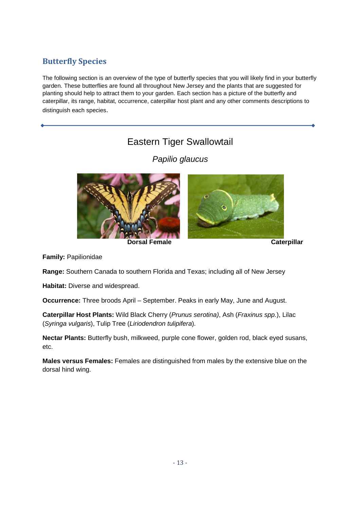### **Butterfly Species**

The following section is an overview of the type of butterfly species that you will likely find in your butterfly garden. These butterflies are found all throughout New Jersey and the plants that are suggested for planting should help to attract them to your garden. Each section has a picture of the butterfly and caterpillar, its range, habitat, occurrence, caterpillar host plant and any other comments descriptions to distinguish each species.

## Eastern Tiger Swallowtail

Papilio glaucus



**Dorsal Female** Caterpillar

**Family:** Papilionidae

**Range:** Southern Canada to southern Florida and Texas; including all of New Jersey

**Habitat:** Diverse and widespread.

**Occurrence:** Three broods April – September. Peaks in early May, June and August.

**Caterpillar Host Plants:** Wild Black Cherry (Prunus serotina), Ash (Fraxinus spp.), Lilac (Syringa vulgaris), Tulip Tree (Liriodendron tulipifera).

**Nectar Plants:** Butterfly bush, milkweed, purple cone flower, golden rod, black eyed susans, etc.

**Males versus Females:** Females are distinguished from males by the extensive blue on the dorsal hind wing.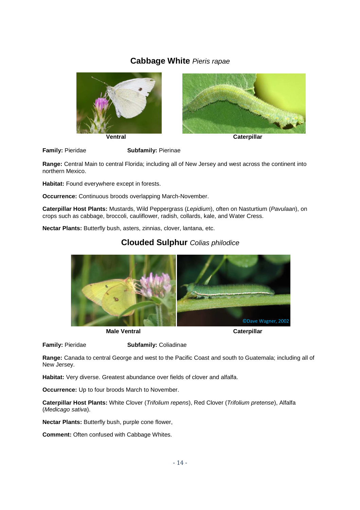### **Cabbage White** Pieris rapae





![](_page_13_Figure_3.jpeg)

**Family:** Pieridae **Subfamily:** Pierinae

**Range:** Central Main to central Florida; including all of New Jersey and west across the continent into northern Mexico.

**Habitat:** Found everywhere except in forests.

**Occurrence:** Continuous broods overlapping March-November.

**Caterpillar Host Plants:** Mustards, Wild Peppergrass (Lepidium), often on Nasturtium (Pavulaan), on crops such as cabbage, broccoli, cauliflower, radish, collards, kale, and Water Cress.

**Nectar Plants:** Butterfly bush, asters, zinnias, clover, lantana, etc.

![](_page_13_Picture_11.jpeg)

#### **Clouded Sulphur** Colias philodice

**Male Ventral Caterpillar Caterpillar Caterpillar** 

**Family:** Pieridae **Subfamily:** Coliadinae

**Range:** Canada to central George and west to the Pacific Coast and south to Guatemala; including all of New Jersey.

**Habitat:** Very diverse. Greatest abundance over fields of clover and alfalfa.

**Occurrence:** Up to four broods March to November.

**Caterpillar Host Plants:** White Clover (Trifolium repens), Red Clover (Trifolium pretense), Alfalfa (Medicago sativa).

**Nectar Plants:** Butterfly bush, purple cone flower,

**Comment:** Often confused with Cabbage Whites.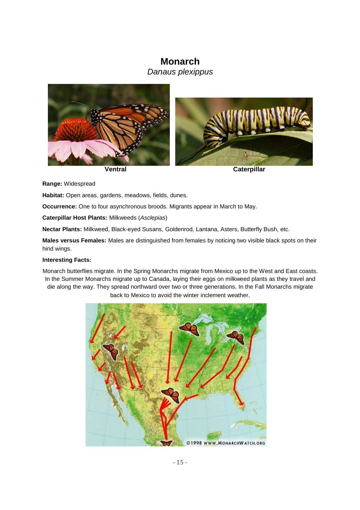### **Monarch**

Danaus plexippus

![](_page_14_Picture_2.jpeg)

**Range:** Widespread

**Habitat:** Open areas, gardens, meadows, fields, dunes.

**Occurrence:** One to four asynchronous broods. Migrants appear in March to May.

**Caterpillar Host Plants:** Milkweeds (Asclepias)

**Nectar Plants:** Milkweed, Black-eyed Susans, Goldenrod, Lantana, Asters, Butterfly Bush, etc.

**Males versus Females:** Males are distinguished from females by noticing two visible black spots on their hind wings.

#### **Interesting Facts:**

Monarch butterflies migrate. In the Spring Monarchs migrate from Mexico up to the West and East coasts. In the Summer Monarchs migrate up to Canada, laying their eggs on milkweed plants as they travel and die along the way. They spread northward over two or three generations. In the Fall Monarchs migrate back to Mexico to avoid the winter inclement weather.

![](_page_14_Figure_13.jpeg)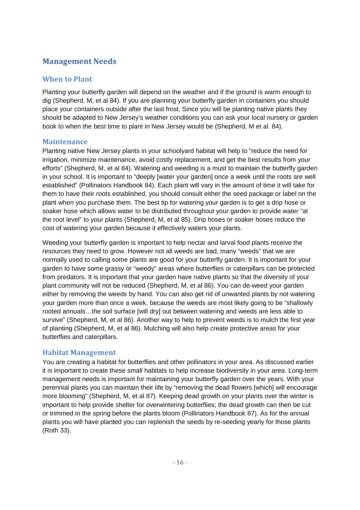### **Management Needs**

#### **When to Plant**

Planting your butterfly garden will depend on the weather and if the ground is warm enough to dig (Shepherd, M, et al 84). If you are planning your butterfly garden in containers you should place your containers outside after the last frost. Since you will be planting native plants they should be adapted to New Jersey's weather conditions you can ask your local nursery or garden book to when the best time to plant in New Jersey would be (Shepherd, M et al. 84).

#### **Maintenance**

Planting native New Jersey plants in your schoolyard habitat will help to "reduce the need for irrigation, minimize maintenance, avoid costly replacement, and get the best results from your efforts" (Shepherd, M, et al 84). Watering and weeding is a must to maintain the butterfly garden in your school. It is important to "deeply [water your garden] once a week until the roots are well established" (Pollinators Handbook 84). Each plant will vary in the amount of time it will take for them to have their roots established, you should consult either the seed package or label on the plant when you purchase them. The best tip for watering your garden is to get a drip hose or soaker hose which allows water to be distributed throughout your garden to provide water "at the root level" to your plants (Shepherd, M, et al 85). Drip hoses or soaker hoses reduce the cost of watering your garden because it effectively waters your plants.

Weeding your butterfly garden is important to help nectar and larval food plants receive the resources they need to grow. However not all weeds are bad, many "weeds" that we are normally used to calling some plants are good for your butterfly garden. It is important for your garden to have some grassy or "weedy" areas where butterflies or caterpillars can be protected from predators. It is important that your garden have native plants so that the diversity of your plant community will not be reduced (Shepherd, M, et al 86). You can de-weed your garden either by removing the weeds by hand. You can also get rid of unwanted plants by not watering your garden more than once a week, because the weeds are most likely going to be "shallowly rooted annuals…the soil surface [will dry] out between watering and weeds are less able to survive" (Shepherd, M, et al 86). Another way to help to prevent weeds is to mulch the first year of planting (Shepherd, M, et al 86). Mulching will also help create protective areas for your butterflies and caterpillars.

### **Habitat Management**

You are creating a habitat for butterflies and other pollinators in your area. As discussed earlier it is important to create these small habitats to help increase biodiversity in your area. Long-term management needs is important for maintaining your butterfly garden over the years. With your perennial plants you can maintain their life by "removing the dead flowers [which] will encourage more blooming" (Shepherd, M, et al 87). Keeping dead growth on your plants over the winter is important to help provide shelter for overwintering butterflies; the dead growth can then be cut or trimmed in the spring before the plants bloom (Pollinators Handbook 87). As for the annual plants you will have planted you can replenish the seeds by re-seeding yearly for those plants (Roth 33).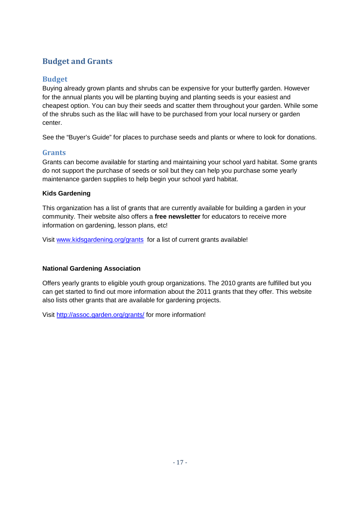### **Budget and Grants**

### **Budget**

Buying already grown plants and shrubs can be expensive for your butterfly garden. However for the annual plants you will be planting buying and planting seeds is your easiest and cheapest option. You can buy their seeds and scatter them throughout your garden. While some of the shrubs such as the lilac will have to be purchased from your local nursery or garden center.

See the "Buyer's Guide" for places to purchase seeds and plants or where to look for donations.

### **Grants**

Grants can become available for starting and maintaining your school yard habitat. Some grants do not support the purchase of seeds or soil but they can help you purchase some yearly maintenance garden supplies to help begin your school yard habitat.

#### **Kids Gardening**

This organization has a list of grants that are currently available for building a garden in your community. Their website also offers a **free newsletter** for educators to receive more information on gardening, lesson plans, etc!

Visit www.kidsgardening.org/grants for a list of current grants available!

#### **National Gardening Association**

Offers yearly grants to eligible youth group organizations. The 2010 grants are fulfilled but you can get started to find out more information about the 2011 grants that they offer. This website also lists other grants that are available for gardening projects.

Visit http://assoc.garden.org/grants/ for more information!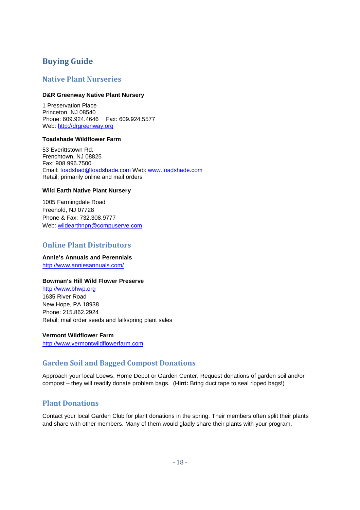### **Buying Guide**

#### **Native Plant Nurseries**

#### **D&R Greenway Native Plant Nursery**

1 Preservation Place Princeton, NJ 08540 Phone: 609.924.4646 Fax: 609.924.5577 Web: http://drgreenway.org

#### **Toadshade Wildflower Farm**

53 Everittstown Rd. Frenchtown, NJ 08825 Fax: 908.996.7500 Email: toadshad@toadshade.com Web: www.toadshade.com Retail; primarily online and mail orders

#### **Wild Earth Native Plant Nursery**

1005 Farmingdale Road Freehold, NJ 07728 Phone & Fax: 732.308.9777 Web: wildearthnpn@compuserve.com

#### **Online Plant Distributors**

#### **Annie's Annuals and Perennials**  http://www.anniesannuals.com/

#### **Bowman's Hill Wild Flower Preserve**

http://www.bhwp.org 1635 River Road New Hope, PA 18938 Phone: 215.862.2924 Retail: mail order seeds and fall/spring plant sales

**Vermont Wildflower Farm** http://www.vermontwildflowerfarm.com

#### **Garden Soil and Bagged Compost Donations**

Approach your local Loews, Home Depot or Garden Center. Request donations of garden soil and/or compost – they will readily donate problem bags. (**Hint:** Bring duct tape to seal ripped bags!)

#### **Plant Donations**

Contact your local Garden Club for plant donations in the spring. Their members often split their plants and share with other members. Many of them would gladly share their plants with your program.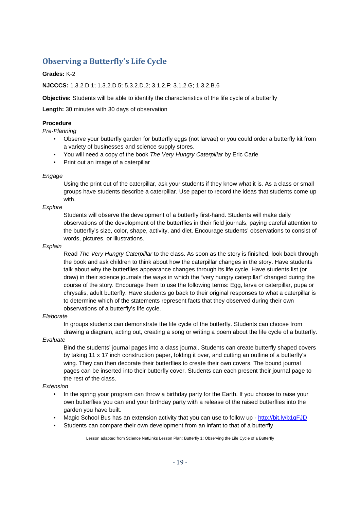### **Observing a Butterfly's Life Cycle**

#### **Grades:** K-2

#### **NJCCCS:** 1.3.2.D.1; 1.3.2.D.5; 5.3.2.D.2; 3.1.2.F; 3.1.2.G; 1.3.2.B.6

**Objective:** Students will be able to identify the characteristics of the life cycle of a butterfly

**Length:** 30 minutes with 30 days of observation

#### **Procedure**

Pre-Planning

- Observe your butterfly garden for butterfly eggs (not larvae) or you could order a butterfly kit from a variety of businesses and science supply stores.
- You will need a copy of the book The Very Hungry Caterpillar by Eric Carle
- Print out an image of a caterpillar

#### Engage

Using the print out of the caterpillar, ask your students if they know what it is. As a class or small groups have students describe a caterpillar. Use paper to record the ideas that students come up with.

#### **Explore**

Students will observe the development of a butterfly first-hand. Students will make daily observations of the development of the butterflies in their field journals, paying careful attention to the butterfly's size, color, shape, activity, and diet. Encourage students' observations to consist of words, pictures, or illustrations.

#### **Explain**

Read The Very Hungry Caterpillar to the class. As soon as the story is finished, look back through the book and ask children to think about how the caterpillar changes in the story. Have students talk about why the butterflies appearance changes through its life cycle. Have students list (or draw) in their science journals the ways in which the "very hungry caterpillar" changed during the course of the story. Encourage them to use the following terms: Egg, larva or caterpillar, pupa or chrysalis, adult butterfly. Have students go back to their original responses to what a caterpillar is to determine which of the statements represent facts that they observed during their own observations of a butterfly's life cycle.

#### Elaborate

In groups students can demonstrate the life cycle of the butterfly. Students can choose from drawing a diagram, acting out, creating a song or writing a poem about the life cycle of a butterfly.

#### Evaluate

Bind the students' journal pages into a class journal. Students can create butterfly shaped covers by taking 11 x 17 inch construction paper, folding it over, and cutting an outline of a butterfly's wing. They can then decorate their butterflies to create their own covers. The bound journal pages can be inserted into their butterfly cover. Students can each present their journal page to the rest of the class.

#### Extension

- In the spring your program can throw a birthday party for the Earth. If you choose to raise your own butterflies you can end your birthday party with a release of the raised butterflies into the garden you have built.
- Magic School Bus has an extension activity that you can use to follow up http://bit.ly/b1qFJD
- Students can compare their own development from an infant to that of a butterfly

Lesson adapted from Science NetLinks Lesson Plan: Butterfly 1: Observing the Life Cycle of a Butterfly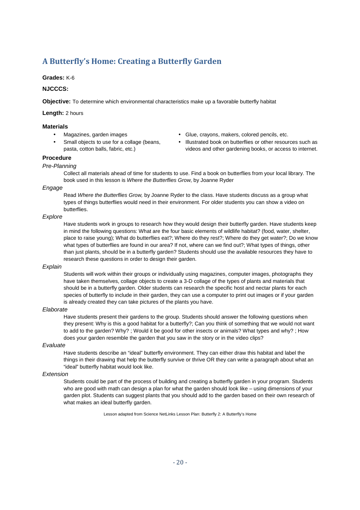### **A Butterfly's Home: Creating a Butterfly Garden**

#### **Grades:** K-6

#### **NJCCCS:**

**Objective:** To determine which environmental characteristics make up a favorable butterfly habitat

**Length:** 2 hours

#### **Materials**

- 
- Small objects to use for a collage (beans, pasta, cotton balls, fabric, etc.)
- Magazines, garden images Glue, crayons, makers, colored pencils, etc.
	- Illustrated book on butterflies or other resources such as videos and other gardening books, or access to internet.

#### **Procedure**

#### Pre-Planning

Collect all materials ahead of time for students to use. Find a book on butterflies from your local library. The book used in this lesson is Where the Butterflies Grow, by Joanne Ryder

#### Engage

Read Where the Butterflies Grow, by Joanne Ryder to the class. Have students discuss as a group what types of things butterflies would need in their environment. For older students you can show a video on butterflies.

#### **Explore**

Have students work in groups to research how they would design their butterfly garden. Have students keep in mind the following questions: What are the four basic elements of wildlife habitat? (food, water, shelter, place to raise young); What do butterflies eat?; Where do they rest?; Where do they get water?; Do we know what types of butterflies are found in our area? If not, where can we find out?; What types of things, other than just plants, should be in a butterfly garden? Students should use the available resources they have to research these questions in order to design their garden.

#### **Explain**

Students will work within their groups or individually using magazines, computer images, photographs they have taken themselves, collage objects to create a 3-D collage of the types of plants and materials that should be in a butterfly garden. Older students can research the specific host and nectar plants for each species of butterfly to include in their garden, they can use a computer to print out images or if your garden is already created they can take pictures of the plants you have.

#### Elaborate

Have students present their gardens to the group. Students should answer the following questions when they present: Why is this a good habitat for a butterfly?; Can you think of something that we would not want to add to the garden? Why? ; Would it be good for other insects or animals? What types and why? ; How does your garden resemble the garden that you saw in the story or in the video clips?

#### Evaluate

Have students describe an "ideal" butterfly environment. They can either draw this habitat and label the things in their drawing that help the butterfly survive or thrive OR they can write a paragraph about what an "ideal" butterfly habitat would look like.

#### Extension

Students could be part of the process of building and creating a butterfly garden in your program. Students who are good with math can design a plan for what the garden should look like – using dimensions of your garden plot. Students can suggest plants that you should add to the garden based on their own research of what makes an ideal butterfly garden.

Lesson adapted from Science NetLinks Lesson Plan: Butterfly 2: A Butterfly's Home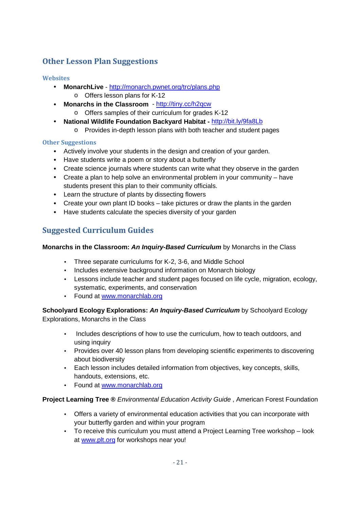### **Other Lesson Plan Suggestions**

#### **Websites**

- **MonarchLive** http://monarch.pwnet.org/trc/plans.php o Offers lesson plans for K-12
- **Monarchs in the Classroom**  http://tiny.cc/h2qcw
	- o Offers samples of their curriculum for grades K-12
- **National Wildlife Foundation Backyard Habitat** http://bit.ly/9fa8Lb
	- o Provides in-depth lesson plans with both teacher and student pages

#### **Other Suggestions**

- Actively involve your students in the design and creation of your garden.
- Have students write a poem or story about a butterfly
- Create science journals where students can write what they observe in the garden
- Create a plan to help solve an environmental problem in your community have students present this plan to their community officials.
- Learn the structure of plants by dissecting flowers
- Create your own plant ID books take pictures or draw the plants in the garden
- Have students calculate the species diversity of your garden

### **Suggested Curriculum Guides**

#### **Monarchs in the Classroom: An Inquiry-Based Curriculum** by Monarchs in the Class

- Three separate curriculums for K-2, 3-6, and Middle School
- Includes extensive background information on Monarch biology
- Lessons include teacher and student pages focused on life cycle, migration, ecology, systematic, experiments, and conservation
- Found at www.monarchlab.org

**Schoolyard Ecology Explorations: An Inquiry-Based Curriculum** by Schoolyard Ecology Explorations, Monarchs in the Class

- Includes descriptions of how to use the curriculum, how to teach outdoors, and using inquiry
- Provides over 40 lesson plans from developing scientific experiments to discovering about biodiversity
- Each lesson includes detailed information from objectives, key concepts, skills, handouts, extensions, etc.
- Found at www.monarchlab.org

#### **Project Learning Tree ® Environmental Education Activity Guide, American Forest Foundation**

- Offers a variety of environmental education activities that you can incorporate with your butterfly garden and within your program
- To receive this curriculum you must attend a Project Learning Tree workshop look at www.plt.org for workshops near you!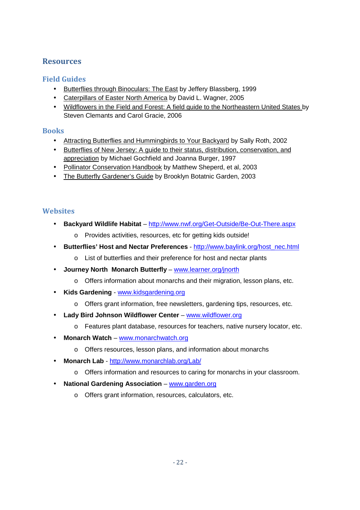### **Resources**

### **Field Guides**

- Butterflies through Binoculars: The East by Jeffery Blassberg, 1999
- Caterpillars of Easter North America by David L. Wagner, 2005
- Wildflowers in the Field and Forest: A field guide to the Northeastern United States by Steven Clemants and Carol Gracie, 2006

#### **Books**

- Attracting Butterflies and Hummingbirds to Your Backyard by Sally Roth, 2002
- Butterflies of New Jersey: A guide to their status, distribution, conservation, and appreciation by Michael Gochfield and Joanna Burger, 1997
- Pollinator Conservation Handbook by Matthew Sheperd, et al, 2003
- The Butterfly Gardener's Guide by Brooklyn Botatnic Garden, 2003

### **Websites**

- **Backyard Wildlife Habitat** http://www.nwf.org/Get-Outside/Be-Out-There.aspx
	- o Provides activities, resources, etc for getting kids outside!
- **Butterflies' Host and Nectar Preferences** http://www.baylink.org/host\_nec.html
	- o List of butterflies and their preference for host and nectar plants
- **Journey North Monarch Butterfly** www.learner.org/jnorth
	- o Offers information about monarchs and their migration, lesson plans, etc.
- **Kids Gardening** www.kidsgardening.org
	- o Offers grant information, free newsletters, gardening tips, resources, etc.
- **Lady Bird Johnson Wildflower Center** www.wildflower.org
	- o Features plant database, resources for teachers, native nursery locator, etc.
- **Monarch Watch** www.monarchwatch.org
	- o Offers resources, lesson plans, and information about monarchs
- **Monarch Lab**  http://www.monarchlab.org/Lab/
	- o Offers information and resources to caring for monarchs in your classroom.
- **National Gardening Association** www.garden.org
	- o Offers grant information, resources, calculators, etc.